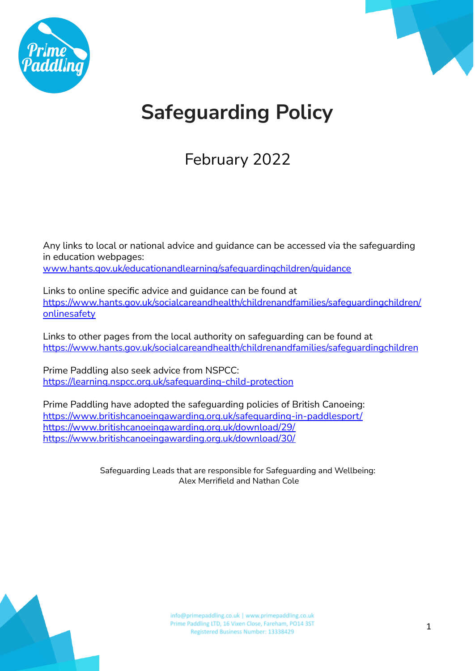



# **Safeguarding Policy**

February 2022

Any links to local or national advice and guidance can be accessed via the safeguarding in education webpages: [www.hants.gov.uk/educationandlearning/safeguardingchildren/guidance](http://www.hants.gov.uk/educationandlearning/safeguardingchildren/guidance)

Links to online specific advice and guidance can be found at [https://www.hants.gov.uk/socialcareandhealth/childrenandfamilies/safeguardingchildren/](https://www.hants.gov.uk/socialcareandhealth/childrenandfamilies/safeguardingchildren/onlinesafety) [onlinesafety](https://www.hants.gov.uk/socialcareandhealth/childrenandfamilies/safeguardingchildren/onlinesafety)

Links to other pages from the local authority on safeguarding can be found at <https://www.hants.gov.uk/socialcareandhealth/childrenandfamilies/safeguardingchildren>

Prime Paddling also seek advice from NSPCC: <https://learning.nspcc.org.uk/safeguarding-child-protection>

Prime Paddling have adopted the safeguarding policies of British Canoeing: <https://www.britishcanoeingawarding.org.uk/safeguarding-in-paddlesport/> <https://www.britishcanoeingawarding.org.uk/download/29/> <https://www.britishcanoeingawarding.org.uk/download/30/>

> Safeguarding Leads that are responsible for Safeguarding and Wellbeing: Alex Merrifield and Nathan Cole

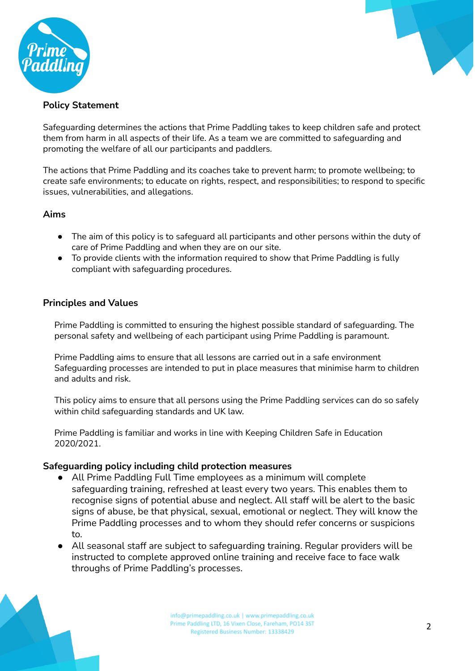



# **Policy Statement**

Safeguarding determines the actions that Prime Paddling takes to keep children safe and protect them from harm in all aspects of their life. As a team we are committed to safeguarding and promoting the welfare of all our participants and paddlers.

The actions that Prime Paddling and its coaches take to prevent harm; to promote wellbeing; to create safe environments; to educate on rights, respect, and responsibilities; to respond to specific issues, vulnerabilities, and allegations.

## **Aims**

- The aim of this policy is to safeguard all participants and other persons within the duty of care of Prime Paddling and when they are on our site.
- To provide clients with the information required to show that Prime Paddling is fully compliant with safeguarding procedures.

## **Principles and Values**

Prime Paddling is committed to ensuring the highest possible standard of safeguarding. The personal safety and wellbeing of each participant using Prime Paddling is paramount.

Prime Paddling aims to ensure that all lessons are carried out in a safe environment Safeguarding processes are intended to put in place measures that minimise harm to children and adults and risk.

This policy aims to ensure that all persons using the Prime Paddling services can do so safely within child safeguarding standards and UK law.

Prime Paddling is familiar and works in line with Keeping Children Safe in Education 2020/2021.

#### **Safeguarding policy including child protection measures**

- All Prime Paddling Full Time employees as a minimum will complete safeguarding training, refreshed at least every two years. This enables them to recognise signs of potential abuse and neglect. All staff will be alert to the basic signs of abuse, be that physical, sexual, emotional or neglect. They will know the Prime Paddling processes and to whom they should refer concerns or suspicions to.
- All seasonal staff are subject to safeguarding training. Regular providers will be instructed to complete approved online training and receive face to face walk throughs of Prime Paddling's processes.

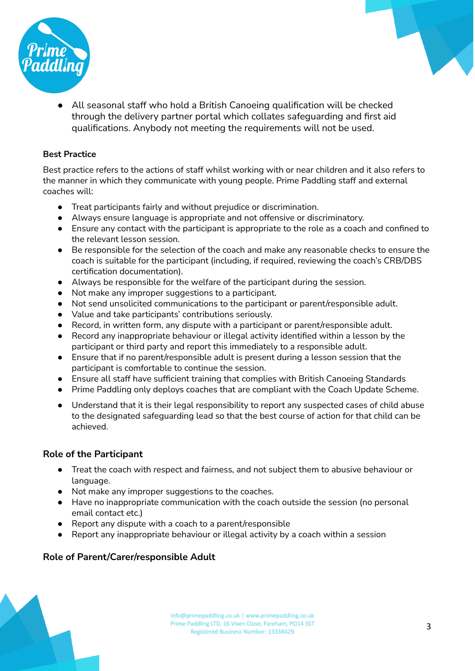



● All seasonal staff who hold a British Canoeing qualification will be checked through the delivery partner portal which collates safeguarding and first aid qualifications. Anybody not meeting the requirements will not be used.

#### **Best Practice**

Best practice refers to the actions of staff whilst working with or near children and it also refers to the manner in which they communicate with young people. Prime Paddling staff and external coaches will:

- Treat participants fairly and without prejudice or discrimination.
- Always ensure language is appropriate and not offensive or discriminatory.
- Ensure any contact with the participant is appropriate to the role as a coach and confined to the relevant lesson session.
- Be responsible for the selection of the coach and make any reasonable checks to ensure the coach is suitable for the participant (including, if required, reviewing the coach's CRB/DBS certification documentation).
- Always be responsible for the welfare of the participant during the session.
- Not make any improper suggestions to a participant.
- Not send unsolicited communications to the participant or parent/responsible adult.
- Value and take participants' contributions seriously.
- Record, in written form, any dispute with a participant or parent/responsible adult.
- Record any inappropriate behaviour or illegal activity identified within a lesson by the participant or third party and report this immediately to a responsible adult.
- Ensure that if no parent/responsible adult is present during a lesson session that the participant is comfortable to continue the session.
- Ensure all staff have sufficient training that complies with British Canoeing Standards
- Prime Paddling only deploys coaches that are compliant with the Coach Update Scheme.
- Understand that it is their legal responsibility to report any suspected cases of child abuse to the designated safeguarding lead so that the best course of action for that child can be achieved.

## **Role of the Participant**

- Treat the coach with respect and fairness, and not subject them to abusive behaviour or language.
- Not make any improper suggestions to the coaches.
- Have no inappropriate communication with the coach outside the session (no personal email contact etc.)
- Report any dispute with a coach to a parent/responsible
- Report any inappropriate behaviour or illegal activity by a coach within a session

## **Role of Parent/Carer/responsible Adult**

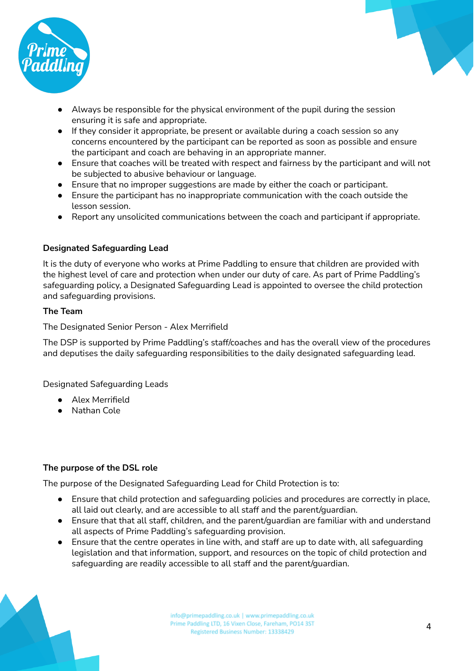



- Always be responsible for the physical environment of the pupil during the session ensuring it is safe and appropriate.
- If they consider it appropriate, be present or available during a coach session so any concerns encountered by the participant can be reported as soon as possible and ensure the participant and coach are behaving in an appropriate manner.
- Ensure that coaches will be treated with respect and fairness by the participant and will not be subjected to abusive behaviour or language.
- Ensure that no improper suggestions are made by either the coach or participant.
- Ensure the participant has no inappropriate communication with the coach outside the lesson session.
- Report any unsolicited communications between the coach and participant if appropriate.

## **Designated Safeguarding Lead**

It is the duty of everyone who works at Prime Paddling to ensure that children are provided with the highest level of care and protection when under our duty of care. As part of Prime Paddling's safeguarding policy, a Designated Safeguarding Lead is appointed to oversee the child protection and safeguarding provisions.

## **The Team**

The Designated Senior Person - Alex Merrifield

The DSP is supported by Prime Paddling's staff/coaches and has the overall view of the procedures and deputises the daily safeguarding responsibilities to the daily designated safeguarding lead.

Designated Safeguarding Leads

- Alex Merrifield
- Nathan Cole

## **The purpose of the DSL role**

The purpose of the Designated Safeguarding Lead for Child Protection is to:

- Ensure that child protection and safeguarding policies and procedures are correctly in place, all laid out clearly, and are accessible to all staff and the parent/guardian.
- Ensure that that all staff, children, and the parent/guardian are familiar with and understand all aspects of Prime Paddling's safeguarding provision.
- Ensure that the centre operates in line with, and staff are up to date with, all safequarding legislation and that information, support, and resources on the topic of child protection and safeguarding are readily accessible to all staff and the parent/guardian.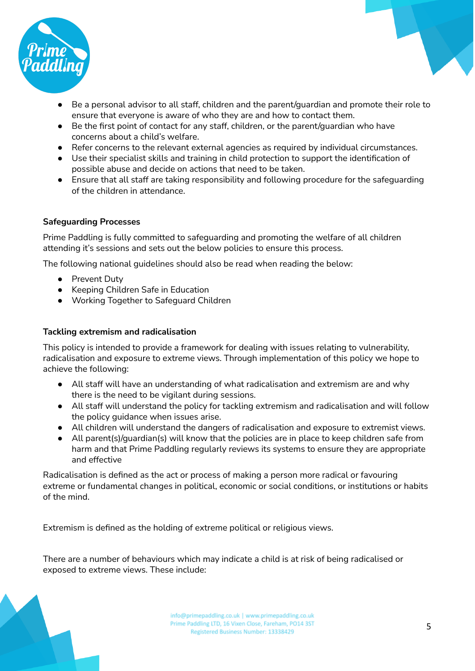

- Be a personal advisor to all staff, children and the parent/quardian and promote their role to ensure that everyone is aware of who they are and how to contact them.
- Be the first point of contact for any staff, children, or the parent/guardian who have concerns about a child's welfare.
- Refer concerns to the relevant external agencies as required by individual circumstances.
- Use their specialist skills and training in child protection to support the identification of possible abuse and decide on actions that need to be taken.
- Ensure that all staff are taking responsibility and following procedure for the safeguarding of the children in attendance.

#### **Safeguarding Processes**

Prime Paddling is fully committed to safeguarding and promoting the welfare of all children attending it's sessions and sets out the below policies to ensure this process.

The following national guidelines should also be read when reading the below:

- Prevent Duty
- Keeping Children Safe in Education
- Working Together to Safeguard Children

#### **Tackling extremism and radicalisation**

This policy is intended to provide a framework for dealing with issues relating to vulnerability, radicalisation and exposure to extreme views. Through implementation of this policy we hope to achieve the following:

- All staff will have an understanding of what radicalisation and extremism are and why there is the need to be vigilant during sessions.
- All staff will understand the policy for tackling extremism and radicalisation and will follow the policy guidance when issues arise.
- All children will understand the dangers of radicalisation and exposure to extremist views.
- All parent(s)/guardian(s) will know that the policies are in place to keep children safe from harm and that Prime Paddling regularly reviews its systems to ensure they are appropriate and effective

Radicalisation is defined as the act or process of making a person more radical or favouring extreme or fundamental changes in political, economic or social conditions, or institutions or habits of the mind.

Extremism is defined as the holding of extreme political or religious views.

There are a number of behaviours which may indicate a child is at risk of being radicalised or exposed to extreme views. These include: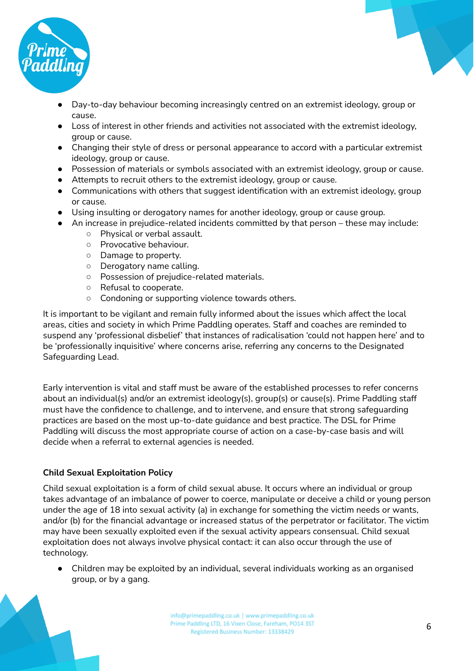

- Day-to-day behaviour becoming increasingly centred on an extremist ideology, group or cause.
- Loss of interest in other friends and activities not associated with the extremist ideology, group or cause.
- Changing their style of dress or personal appearance to accord with a particular extremist ideology, group or cause.
- Possession of materials or symbols associated with an extremist ideology, group or cause.
- Attempts to recruit others to the extremist ideology, group or cause.
- Communications with others that suggest identification with an extremist ideology, group or cause.
- Using insulting or derogatory names for another ideology, group or cause group.
- An increase in prejudice-related incidents committed by that person these may include:
	- Physical or verbal assault.
	- Provocative behaviour.
	- Damage to property.
	- Derogatory name calling.
	- Possession of prejudice-related materials.
	- Refusal to cooperate.
	- Condoning or supporting violence towards others.

It is important to be vigilant and remain fully informed about the issues which affect the local areas, cities and society in which Prime Paddling operates. Staff and coaches are reminded to suspend any 'professional disbelief' that instances of radicalisation 'could not happen here' and to be 'professionally inquisitive' where concerns arise, referring any concerns to the Designated Safeguarding Lead.

Early intervention is vital and staff must be aware of the established processes to refer concerns about an individual(s) and/or an extremist ideology(s), group(s) or cause(s). Prime Paddling staff must have the confidence to challenge, and to intervene, and ensure that strong safeguarding practices are based on the most up-to-date guidance and best practice. The DSL for Prime Paddling will discuss the most appropriate course of action on a case-by-case basis and will decide when a referral to external agencies is needed.

## **Child Sexual Exploitation Policy**

Child sexual exploitation is a form of child sexual abuse. It occurs where an individual or group takes advantage of an imbalance of power to coerce, manipulate or deceive a child or young person under the age of 18 into sexual activity (a) in exchange for something the victim needs or wants, and/or (b) for the financial advantage or increased status of the perpetrator or facilitator. The victim may have been sexually exploited even if the sexual activity appears consensual. Child sexual exploitation does not always involve physical contact: it can also occur through the use of technology.

● Children may be exploited by an individual, several individuals working as an organised group, or by a gang.

> info@primepaddling.co.uk | www.primepaddling.co.uk Prime Paddling LTD, 16 Vixen Close, Fareham, PO14 3ST Registered Business Number: 13338429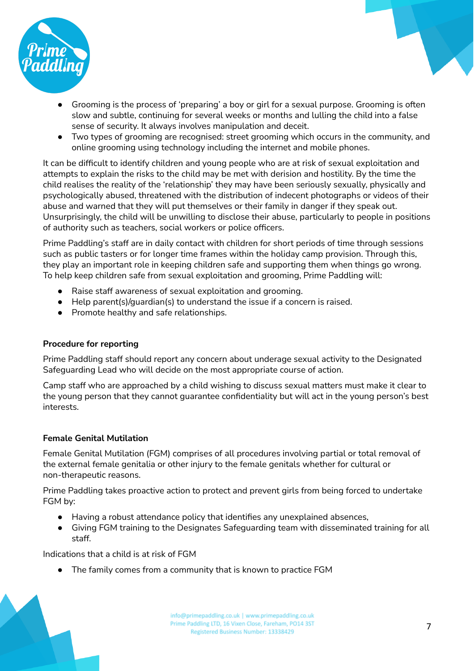

- Grooming is the process of 'preparing' a boy or girl for a sexual purpose. Grooming is often slow and subtle, continuing for several weeks or months and lulling the child into a false sense of security. It always involves manipulation and deceit.
- Two types of grooming are recognised: street grooming which occurs in the community, and online grooming using technology including the internet and mobile phones.

It can be difficult to identify children and young people who are at risk of sexual exploitation and attempts to explain the risks to the child may be met with derision and hostility. By the time the child realises the reality of the 'relationship' they may have been seriously sexually, physically and psychologically abused, threatened with the distribution of indecent photographs or videos of their abuse and warned that they will put themselves or their family in danger if they speak out. Unsurprisingly, the child will be unwilling to disclose their abuse, particularly to people in positions of authority such as teachers, social workers or police officers.

Prime Paddling's staff are in daily contact with children for short periods of time through sessions such as public tasters or for longer time frames within the holiday camp provision. Through this, they play an important role in keeping children safe and supporting them when things go wrong. To help keep children safe from sexual exploitation and grooming, Prime Paddling will:

- Raise staff awareness of sexual exploitation and grooming.
- $\bullet$  Help parent(s)/quardian(s) to understand the issue if a concern is raised.
- Promote healthy and safe relationships.

#### **Procedure for reporting**

Prime Paddling staff should report any concern about underage sexual activity to the Designated Safeguarding Lead who will decide on the most appropriate course of action.

Camp staff who are approached by a child wishing to discuss sexual matters must make it clear to the young person that they cannot guarantee confidentiality but will act in the young person's best interests.

#### **Female Genital Mutilation**

Female Genital Mutilation (FGM) comprises of all procedures involving partial or total removal of the external female genitalia or other injury to the female genitals whether for cultural or non-therapeutic reasons.

Prime Paddling takes proactive action to protect and prevent girls from being forced to undertake FGM by:

- Having a robust attendance policy that identifies any unexplained absences,
- Giving FGM training to the Designates Safeguarding team with disseminated training for all staff.

Indications that a child is at risk of FGM

The family comes from a community that is known to practice FGM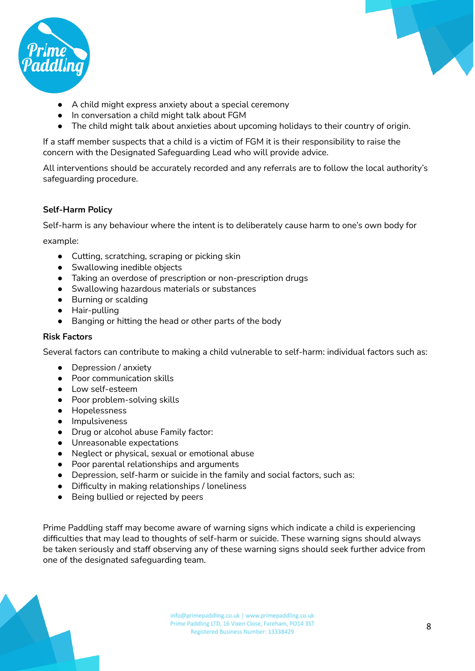



- A child might express anxiety about a special ceremony
- In conversation a child might talk about FGM
- The child might talk about anxieties about upcoming holidays to their country of origin.

If a staff member suspects that a child is a victim of FGM it is their responsibility to raise the concern with the Designated Safeguarding Lead who will provide advice.

All interventions should be accurately recorded and any referrals are to follow the local authority's safeguarding procedure.

#### **Self-Harm Policy**

Self-harm is any behaviour where the intent is to deliberately cause harm to one's own body for

example:

- Cutting, scratching, scraping or picking skin
- Swallowing inedible objects
- Taking an overdose of prescription or non-prescription drugs
- Swallowing hazardous materials or substances
- Burning or scalding
- Hair-pulling
- Banging or hitting the head or other parts of the body

#### **Risk Factors**

Several factors can contribute to making a child vulnerable to self-harm: individual factors such as:

- Depression / anxiety
- Poor communication skills
- Low self-esteem
- Poor problem-solving skills
- Hopelessness
- Impulsiveness
- Drug or alcohol abuse Family factor:
- Unreasonable expectations
- Neglect or physical, sexual or emotional abuse
- Poor parental relationships and arguments
- Depression, self-harm or suicide in the family and social factors, such as:
- Difficulty in making relationships / loneliness
- Being bullied or rejected by peers

Prime Paddling staff may become aware of warning signs which indicate a child is experiencing difficulties that may lead to thoughts of self-harm or suicide. These warning signs should always be taken seriously and staff observing any of these warning signs should seek further advice from one of the designated safeguarding team.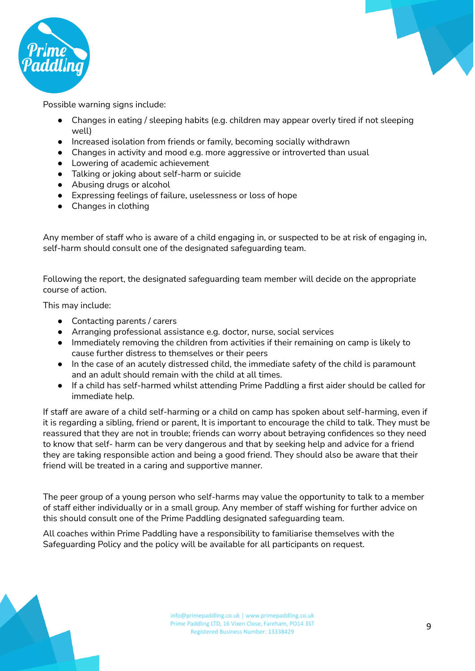



Possible warning signs include:

- Changes in eating / sleeping habits (e.g. children may appear overly tired if not sleeping well)
- Increased isolation from friends or family, becoming socially withdrawn
- Changes in activity and mood e.g. more aggressive or introverted than usual
- Lowering of academic achievement
- Talking or joking about self-harm or suicide
- Abusing drugs or alcohol
- Expressing feelings of failure, uselessness or loss of hope
- Changes in clothing

Any member of staff who is aware of a child engaging in, or suspected to be at risk of engaging in, self-harm should consult one of the designated safeguarding team.

Following the report, the designated safeguarding team member will decide on the appropriate course of action.

This may include:

- Contacting parents / carers
- Arranging professional assistance e.g. doctor, nurse, social services
- Immediately removing the children from activities if their remaining on camp is likely to cause further distress to themselves or their peers
- In the case of an acutely distressed child, the immediate safety of the child is paramount and an adult should remain with the child at all times.
- If a child has self-harmed whilst attending Prime Paddling a first aider should be called for immediate help.

If staff are aware of a child self-harming or a child on camp has spoken about self-harming, even if it is regarding a sibling, friend or parent, It is important to encourage the child to talk. They must be reassured that they are not in trouble; friends can worry about betraying confidences so they need to know that self- harm can be very dangerous and that by seeking help and advice for a friend they are taking responsible action and being a good friend. They should also be aware that their friend will be treated in a caring and supportive manner.

The peer group of a young person who self-harms may value the opportunity to talk to a member of staff either individually or in a small group. Any member of staff wishing for further advice on this should consult one of the Prime Paddling designated safeguarding team.

All coaches within Prime Paddling have a responsibility to familiarise themselves with the Safeguarding Policy and the policy will be available for all participants on request.